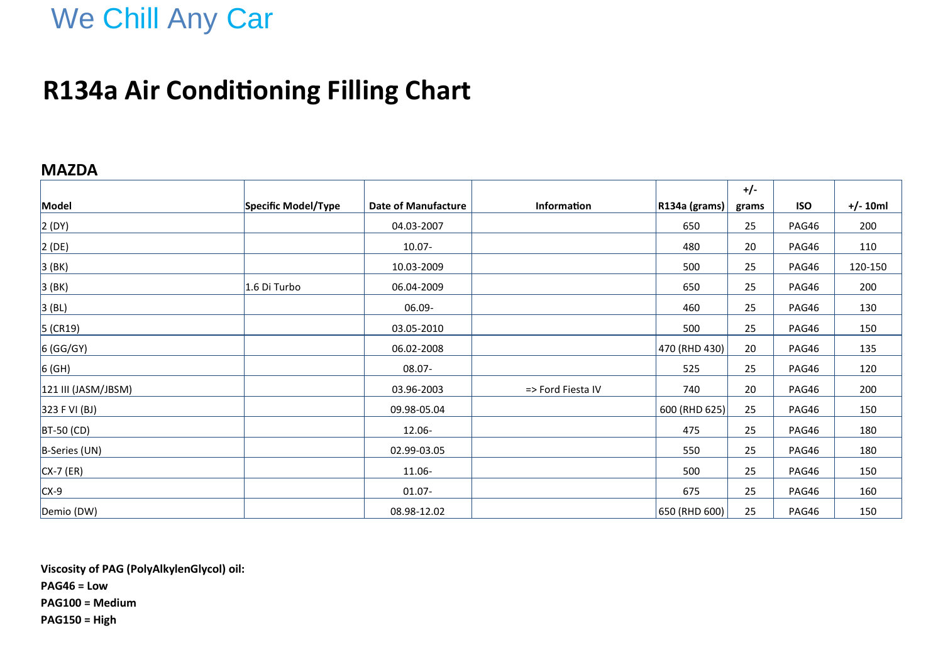# We Chill Any Car

### **R134a Air Conditioning Filling Chart**

#### **MAZDA**

|                     |                     |                            |                   |                  | $+/-$ |            |            |
|---------------------|---------------------|----------------------------|-------------------|------------------|-------|------------|------------|
| Model               | Specific Model/Type | <b>Date of Manufacture</b> | Information       | $ R134a$ (grams) | grams | <b>ISO</b> | $+/- 10ml$ |
| 2(DY)               |                     | 04.03-2007                 |                   | 650              | 25    | PAG46      | 200        |
| 2(DE)               |                     | $10.07 -$                  |                   | 480              | 20    | PAG46      | 110        |
| 3(BK)               |                     | 10.03-2009                 |                   | 500              | 25    | PAG46      | 120-150    |
| 3(BK)               | 1.6 Di Turbo        | 06.04-2009                 |                   | 650              | 25    | PAG46      | 200        |
| 3(BL)               |                     | 06.09-                     |                   | 460              | 25    | PAG46      | 130        |
| $5$ (CR19)          |                     | 03.05-2010                 |                   | 500              | 25    | PAG46      | 150        |
| 6 (GG/GY)           |                     | 06.02-2008                 |                   | 470 (RHD 430)    | 20    | PAG46      | 135        |
| $6$ (GH)            |                     | 08.07-                     |                   | 525              | 25    | PAG46      | 120        |
| 121 III (JASM/JBSM) |                     | 03.96-2003                 | => Ford Fiesta IV | 740              | 20    | PAG46      | 200        |
| 323 F VI (BJ)       |                     | 09.98-05.04                |                   | $600$ (RHD 625)  | 25    | PAG46      | 150        |
| $BT-50$ (CD)        |                     | 12.06-                     |                   | 475              | 25    | PAG46      | 180        |
| B-Series (UN)       |                     | 02.99-03.05                |                   | 550              | 25    | PAG46      | 180        |
| $CX-7$ (ER)         |                     | 11.06-                     |                   | 500              | 25    | PAG46      | 150        |
| $CX-9$              |                     | $01.07 -$                  |                   | 675              | 25    | PAG46      | 160        |
| Demio (DW)          |                     | 08.98-12.02                |                   | 650 (RHD 600)    | 25    | PAG46      | 150        |

**Viscosity of PAG (PolyAlkylenGlycol) oil: PAG46 = Low PAG100 = Medium PAG150 = High**